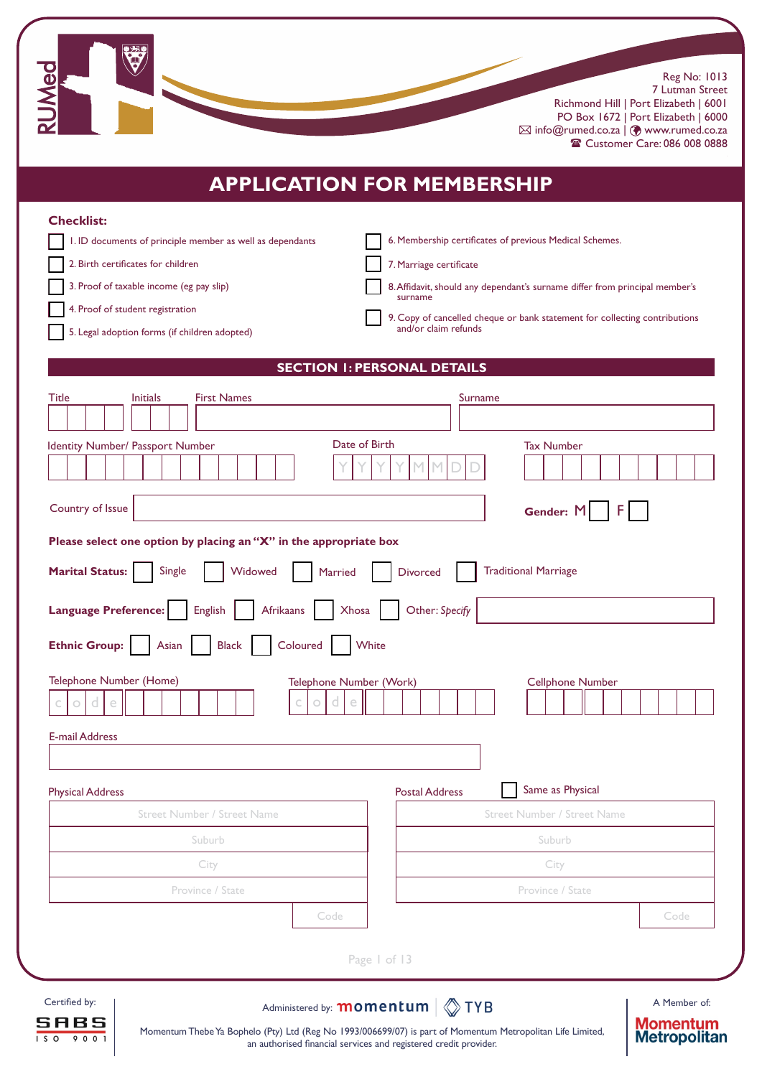Reg No: 1013 7 Lutman Street

Richmond Hill | Port Elizabeth | 6001 PO Box 1672 | Port Elizabeth | 6000  $\boxtimes$  info@rumed.co.za  $|$   $\textcircled{}$  www.rumed.co.za <sup>2</sup> Customer Care: 086 008 0888

# **APPLICATION FOR MEMBERSHIP**

| <b>Checklist:</b><br>I. ID documents of principle member as well as dependants<br>2. Birth certificates for children<br>3. Proof of taxable income (eg pay slip)<br>4. Proof of student registration | 6. Membership certificates of previous Medical Schemes.<br>7. Marriage certificate<br>8. Affidavit, should any dependant's surname differ from principal member's<br>surname<br>9. Copy of cancelled cheque or bank statement for collecting contributions<br>and/or claim refunds |
|------------------------------------------------------------------------------------------------------------------------------------------------------------------------------------------------------|------------------------------------------------------------------------------------------------------------------------------------------------------------------------------------------------------------------------------------------------------------------------------------|
| 5. Legal adoption forms (if children adopted)                                                                                                                                                        |                                                                                                                                                                                                                                                                                    |
|                                                                                                                                                                                                      | <b>SECTION I: PERSONAL DETAILS</b>                                                                                                                                                                                                                                                 |
| <b>First Names</b><br>Title<br><b>Initials</b>                                                                                                                                                       | Surname                                                                                                                                                                                                                                                                            |
| Date of Birth<br>Identity Number/ Passport Number                                                                                                                                                    | <b>Tax Number</b>                                                                                                                                                                                                                                                                  |
| Country of Issue                                                                                                                                                                                     | Gender: M                                                                                                                                                                                                                                                                          |
| Please select one option by placing an "X" in the appropriate box                                                                                                                                    |                                                                                                                                                                                                                                                                                    |
| Single<br><b>Marital Status:</b><br>Widowed<br><b>Married</b>                                                                                                                                        | <b>Traditional Marriage</b><br><b>Divorced</b>                                                                                                                                                                                                                                     |
| <b>Language Preference:</b><br>English<br>Afrikaans<br>Xhosa                                                                                                                                         | Other: Specify                                                                                                                                                                                                                                                                     |
| Coloured<br><b>Ethnic Group:</b><br>Asian<br><b>Black</b>                                                                                                                                            | White                                                                                                                                                                                                                                                                              |
| Telephone Number (Home)<br>Telephone Number (Work)<br>e<br>d<br>е<br>0.                                                                                                                              | <b>Cellphone Number</b>                                                                                                                                                                                                                                                            |
| <b>E-mail Address</b>                                                                                                                                                                                |                                                                                                                                                                                                                                                                                    |
|                                                                                                                                                                                                      |                                                                                                                                                                                                                                                                                    |
| <b>Physical Address</b>                                                                                                                                                                              | Same as Physical<br><b>Postal Address</b>                                                                                                                                                                                                                                          |
| <b>Street Number / Street Name</b>                                                                                                                                                                   | <b>Street Number / Street Name</b>                                                                                                                                                                                                                                                 |
| Suburb                                                                                                                                                                                               | Suburb                                                                                                                                                                                                                                                                             |
| City                                                                                                                                                                                                 | City                                                                                                                                                                                                                                                                               |
| Province / State                                                                                                                                                                                     | Province / State                                                                                                                                                                                                                                                                   |
| Code                                                                                                                                                                                                 | Code                                                                                                                                                                                                                                                                               |
|                                                                                                                                                                                                      | Page 1 of 13                                                                                                                                                                                                                                                                       |



**CO** 

Certified by:  $\blacksquare$  Administered by: **momentum**  $\lozenge$  **TYB** 

A Member of: **Momentum**<br>Metropolitan

Momentum Thebe Ya Bophelo (Pty) Ltd (Reg No 1993/006699/07) is part of Momentum Metropolitan Life Limited, an authorised financial services and registered credit provider.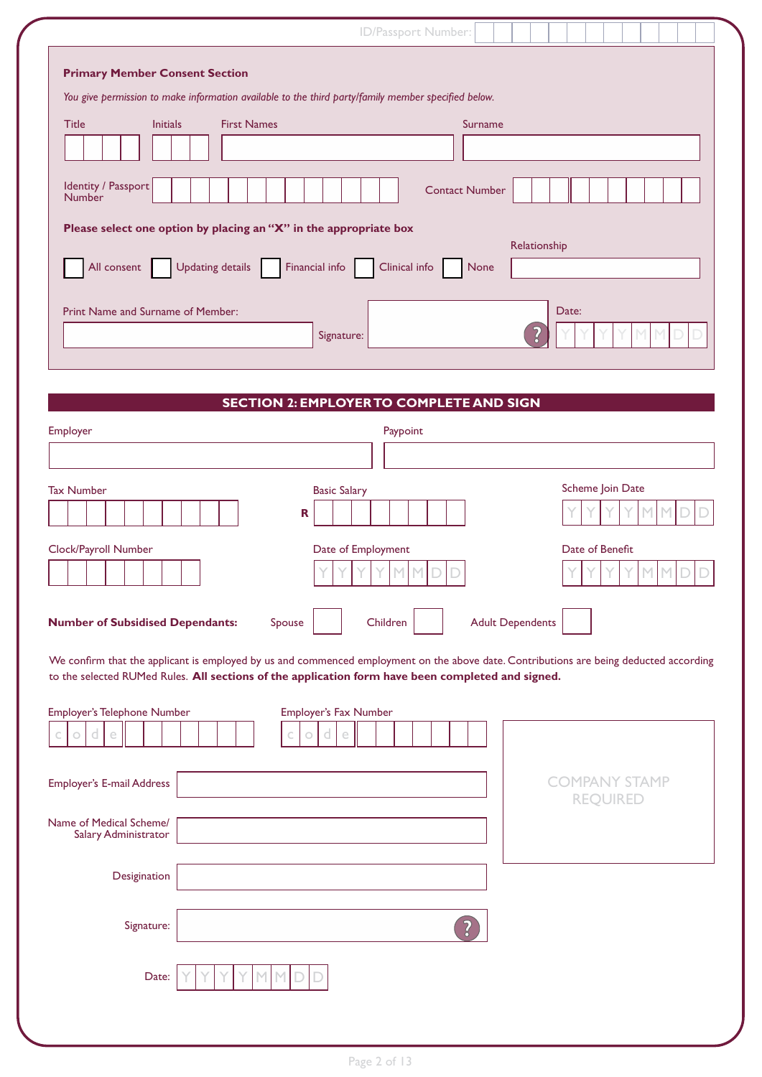| ID/Passport Number:                                                                                                                                                                                                                                                                                                                                                                                                                                                                                                            |
|--------------------------------------------------------------------------------------------------------------------------------------------------------------------------------------------------------------------------------------------------------------------------------------------------------------------------------------------------------------------------------------------------------------------------------------------------------------------------------------------------------------------------------|
| <b>Primary Member Consent Section</b><br>You give permission to make information available to the third party/family member specified below.<br><b>First Names</b><br><b>Title</b><br><b>Initials</b><br><b>Surname</b><br>Identity / Passport<br><b>Contact Number</b><br><b>Number</b><br>Please select one option by placing an "X" in the appropriate box<br>Relationship<br>All consent<br><b>Updating details</b><br>Financial info<br>Clinical info<br>None<br>Print Name and Surname of Member:<br>Date:<br>Signature: |
|                                                                                                                                                                                                                                                                                                                                                                                                                                                                                                                                |
| <b>SECTION 2: EMPLOYER TO COMPLETE AND SIGN</b>                                                                                                                                                                                                                                                                                                                                                                                                                                                                                |
| Employer<br>Paypoint                                                                                                                                                                                                                                                                                                                                                                                                                                                                                                           |
| Scheme Join Date<br><b>Tax Number</b><br><b>Basic Salary</b><br>M<br>$\mathbf R$                                                                                                                                                                                                                                                                                                                                                                                                                                               |
| Clock/Payroll Number<br>Date of Employment<br>Date of Benefit<br>M                                                                                                                                                                                                                                                                                                                                                                                                                                                             |
| <b>Adult Dependents</b><br><b>Number of Subsidised Dependants:</b><br>Spouse<br>Children                                                                                                                                                                                                                                                                                                                                                                                                                                       |
| We confirm that the applicant is employed by us and commenced employment on the above date. Contributions are being deducted according<br>to the selected RUMed Rules. All sections of the application form have been completed and signed.                                                                                                                                                                                                                                                                                    |
| Employer's Telephone Number<br><b>Employer's Fax Number</b><br>d<br>е<br>d<br>e<br>$\circ$<br>О                                                                                                                                                                                                                                                                                                                                                                                                                                |
| <b>COMPANY STAMP</b><br><b>Employer's E-mail Address</b>                                                                                                                                                                                                                                                                                                                                                                                                                                                                       |
| <b>REQUIRED</b><br>Name of Medical Scheme/<br>Salary Administrator                                                                                                                                                                                                                                                                                                                                                                                                                                                             |
| Desigination                                                                                                                                                                                                                                                                                                                                                                                                                                                                                                                   |
| Signature:                                                                                                                                                                                                                                                                                                                                                                                                                                                                                                                     |
| Date:                                                                                                                                                                                                                                                                                                                                                                                                                                                                                                                          |
|                                                                                                                                                                                                                                                                                                                                                                                                                                                                                                                                |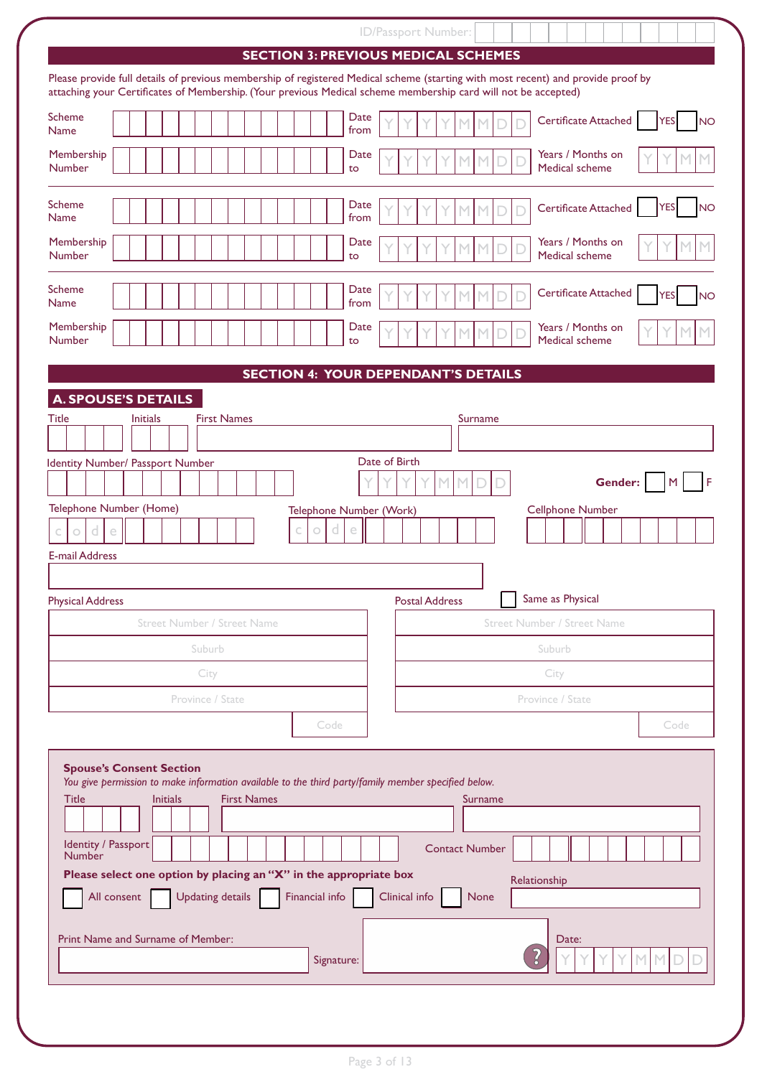|                                                                                                                                                                                                                                                    | ID/Passport Number:                             |
|----------------------------------------------------------------------------------------------------------------------------------------------------------------------------------------------------------------------------------------------------|-------------------------------------------------|
|                                                                                                                                                                                                                                                    | <b>SECTION 3: PREVIOUS MEDICAL SCHEMES</b>      |
| Please provide full details of previous membership of registered Medical scheme (starting with most recent) and provide proof by<br>attaching your Certificates of Membership. (Your previous Medical scheme membership card will not be accepted) |                                                 |
| Scheme<br>Date<br><b>Name</b><br>from                                                                                                                                                                                                              | Certificate Attached<br>YES<br>NO               |
| Membership<br>Date<br><b>Number</b><br>to                                                                                                                                                                                                          | Years / Months on<br>М<br>Medical scheme        |
| <b>Scheme</b><br>Date<br>from<br><b>Name</b>                                                                                                                                                                                                       | Certificate Attached<br>YES<br><b>NO</b>        |
| Membership<br>Date<br><b>Number</b><br>to                                                                                                                                                                                                          | Years / Months on<br>Medical scheme             |
| <b>Scheme</b><br>Date<br>from<br><b>Name</b>                                                                                                                                                                                                       | Certificate Attached<br><b>YES</b><br><b>NO</b> |
| Membership<br>Date<br><b>Number</b><br>to                                                                                                                                                                                                          | Years / Months on<br>Medical scheme             |
|                                                                                                                                                                                                                                                    | <b>SECTION 4: YOUR DEPENDANT'S DETAILS</b>      |
| <b>A. SPOUSE'S DETAILS</b>                                                                                                                                                                                                                         |                                                 |
| <b>Title</b><br><b>First Names</b><br><b>Initials</b>                                                                                                                                                                                              | Surname                                         |
|                                                                                                                                                                                                                                                    |                                                 |
| Identity Number/ Passport Number                                                                                                                                                                                                                   | Date of Birth<br>Gender:<br>M                   |
| Telephone Number (Home)<br>Telephone Number (Work)<br>d<br>d<br>e<br>e<br>C<br>$\circ$                                                                                                                                                             | <b>Cellphone Number</b>                         |
| <b>E-mail Address</b>                                                                                                                                                                                                                              |                                                 |
|                                                                                                                                                                                                                                                    |                                                 |
| <b>Physical Address</b>                                                                                                                                                                                                                            | Same as Physical<br><b>Postal Address</b>       |
| <b>Street Number / Street Name</b>                                                                                                                                                                                                                 | <b>Street Number / Street Name</b>              |
| Suburb                                                                                                                                                                                                                                             | Suburb                                          |
| City                                                                                                                                                                                                                                               | City                                            |
| Province / State                                                                                                                                                                                                                                   | Province / State                                |
| Code                                                                                                                                                                                                                                               | Code                                            |
| <b>Spouse's Consent Section</b><br>You give permission to make information available to the third party/family member specified below.<br><b>First Names</b><br><b>Title</b><br><b>Initials</b>                                                    | Surname                                         |
| Identity / Passport                                                                                                                                                                                                                                |                                                 |
| Number                                                                                                                                                                                                                                             | <b>Contact Number</b>                           |
| Please select one option by placing an "X" in the appropriate box<br><b>Updating details</b><br>Financial info<br>All consent                                                                                                                      | Relationship<br>Clinical info<br>None           |
| Print Name and Surname of Member:                                                                                                                                                                                                                  | Date:                                           |
| Signature:                                                                                                                                                                                                                                         | <b>MM</b>                                       |
|                                                                                                                                                                                                                                                    |                                                 |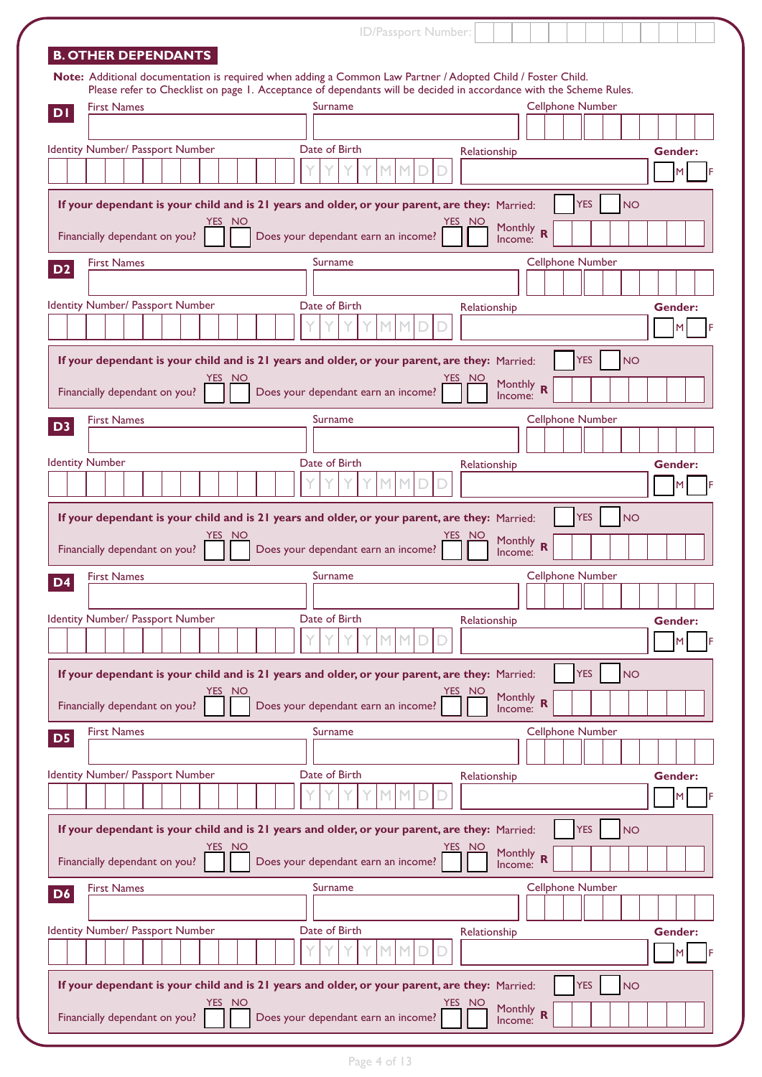|                                         | ID/Passport Number:                                                                                                |                         |
|-----------------------------------------|--------------------------------------------------------------------------------------------------------------------|-------------------------|
| <b>B. OTHER DEPENDANTS</b>              |                                                                                                                    |                         |
|                                         | Note: Additional documentation is required when adding a Common Law Partner / Adopted Child / Foster Child.        |                         |
|                                         | Please refer to Checklist on page 1. Acceptance of dependants will be decided in accordance with the Scheme Rules. |                         |
| <b>First Names</b><br>DI                | Surname                                                                                                            | <b>Cellphone Number</b> |
|                                         |                                                                                                                    |                         |
| Identity Number/ Passport Number        | Date of Birth<br>Relationship                                                                                      | Gender:                 |
|                                         |                                                                                                                    |                         |
|                                         |                                                                                                                    |                         |
|                                         | If your dependant is your child and is 21 years and older, or your parent, are they: Married:                      | <b>YES</b><br><b>NO</b> |
| YES I<br>- NO                           | YES<br><b>NO</b><br>Monthly                                                                                        |                         |
| Financially dependant on you?           | $\overline{\mathbf{R}}$<br>Does your dependant earn an income?<br>Income:                                          |                         |
| <b>First Names</b>                      | Surname                                                                                                            | <b>Cellphone Number</b> |
| D <sub>2</sub>                          |                                                                                                                    |                         |
| Identity Number/ Passport Number        | Date of Birth                                                                                                      |                         |
|                                         | Relationship                                                                                                       | Gender:                 |
|                                         |                                                                                                                    | м                       |
|                                         | If your dependant is your child and is 21 years and older, or your parent, are they: Married:                      | <b>YES</b><br><b>NO</b> |
| YES NO                                  | YES.<br><b>NO</b>                                                                                                  |                         |
| Financially dependant on you?           | Monthly R<br>Does your dependant earn an income?<br>Income:                                                        |                         |
|                                         |                                                                                                                    |                         |
| <b>First Names</b><br>D <sub>3</sub>    | Surname                                                                                                            | <b>Cellphone Number</b> |
|                                         |                                                                                                                    |                         |
| <b>Identity Number</b>                  | Date of Birth<br>Relationship                                                                                      | Gender:                 |
|                                         |                                                                                                                    | M                       |
|                                         |                                                                                                                    |                         |
|                                         | If your dependant is your child and is 21 years and older, or your parent, are they: Married:                      | <b>YES</b><br><b>NO</b> |
| YES NO                                  | YES NO                                                                                                             |                         |
|                                         |                                                                                                                    |                         |
| Financially dependant on you?           | <b>Monthly</b><br>$\mathbf R$<br>Does your dependant earn an income?<br>Income:                                    |                         |
| <b>First Names</b>                      | Surname                                                                                                            | <b>Cellphone Number</b> |
| D <sub>4</sub>                          |                                                                                                                    |                         |
|                                         |                                                                                                                    |                         |
| Identity Number/ Passport Number        | Date of Birth<br>Relationship                                                                                      | Gender:                 |
|                                         |                                                                                                                    | м                       |
|                                         |                                                                                                                    |                         |
|                                         | If your dependant is your child and is 21 years and older, or your parent, are they: Married:                      | <b>YES</b><br><b>NO</b> |
| YES.<br>NO                              | <b>NO</b>                                                                                                          |                         |
| Financially dependant on you?           | Monthly R<br>Does your dependant earn an income?<br>Income:                                                        |                         |
| <b>First Names</b><br>D <sub>5</sub>    | Surname                                                                                                            | <b>Cellphone Number</b> |
|                                         |                                                                                                                    |                         |
| Identity Number/ Passport Number        | Date of Birth<br>Relationship                                                                                      | Gender:                 |
|                                         |                                                                                                                    |                         |
|                                         |                                                                                                                    |                         |
|                                         | If your dependant is your child and is 21 years and older, or your parent, are they: Married:                      | <b>YES</b><br><b>NO</b> |
| YES NO                                  | <b>YES</b><br><b>NO</b>                                                                                            |                         |
| Financially dependant on you?           | Monthly R<br>Does your dependant earn an income?<br>Income:                                                        |                         |
| <b>First Names</b>                      | Surname                                                                                                            | <b>Cellphone Number</b> |
| D <sub>6</sub>                          |                                                                                                                    |                         |
|                                         |                                                                                                                    |                         |
| Identity Number/ Passport Number        | Date of Birth<br>Relationship                                                                                      | Gender:                 |
|                                         |                                                                                                                    | M                       |
|                                         |                                                                                                                    |                         |
|                                         | If your dependant is your child and is 21 years and older, or your parent, are they: Married:                      | <b>YES</b><br><b>NO</b> |
| YES NO<br>Financially dependant on you? | YES NO<br>Monthly R<br>Does your dependant earn an income?<br>Income:                                              |                         |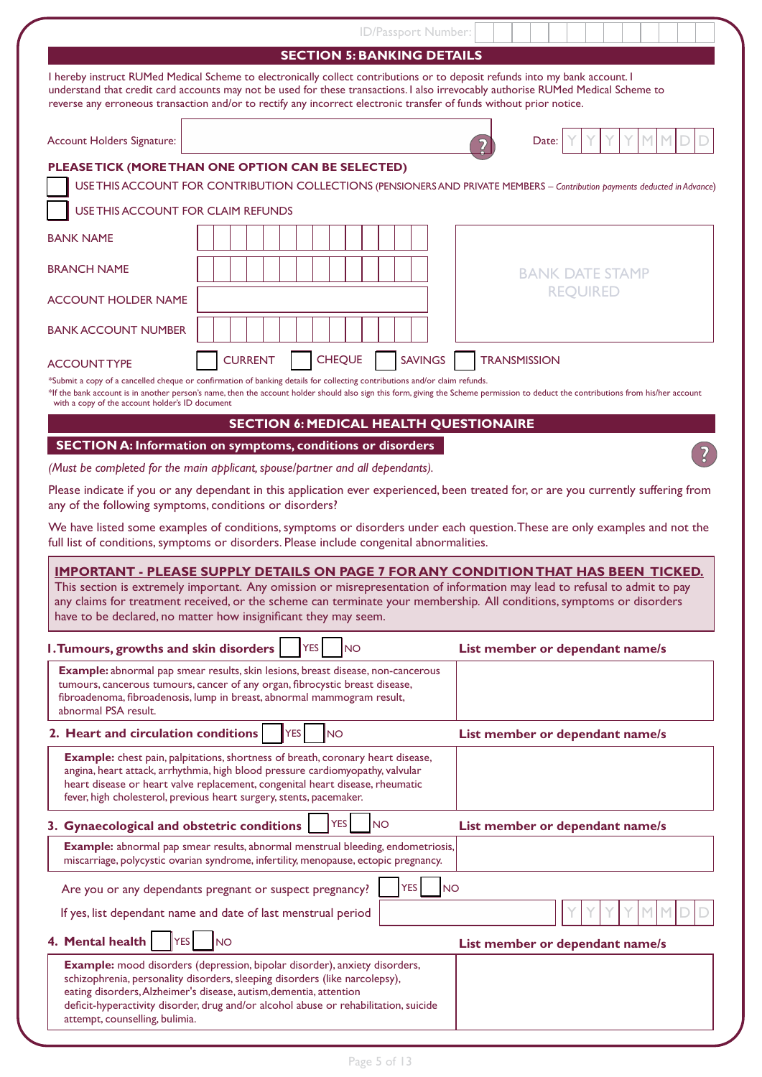|                                                         | ID/Passport Number:                                                                                                                                                                                                                                                                                                                                                                       |                                                                                                                                                                                     |
|---------------------------------------------------------|-------------------------------------------------------------------------------------------------------------------------------------------------------------------------------------------------------------------------------------------------------------------------------------------------------------------------------------------------------------------------------------------|-------------------------------------------------------------------------------------------------------------------------------------------------------------------------------------|
|                                                         | <b>SECTION 5: BANKING DETAILS</b>                                                                                                                                                                                                                                                                                                                                                         |                                                                                                                                                                                     |
|                                                         | I hereby instruct RUMed Medical Scheme to electronically collect contributions or to deposit refunds into my bank account. I<br>understand that credit card accounts may not be used for these transactions. I also irrevocably authorise RUMed Medical Scheme to<br>reverse any erroneous transaction and/or to rectify any incorrect electronic transfer of funds without prior notice. |                                                                                                                                                                                     |
| Account Holders Signature:                              |                                                                                                                                                                                                                                                                                                                                                                                           | Date:                                                                                                                                                                               |
|                                                         | PLEASE TICK (MORE THAN ONE OPTION CAN BE SELECTED)                                                                                                                                                                                                                                                                                                                                        |                                                                                                                                                                                     |
|                                                         |                                                                                                                                                                                                                                                                                                                                                                                           | USE THIS ACCOUNT FOR CONTRIBUTION COLLECTIONS (PENSIONERS AND PRIVATE MEMBERS - Contribution payments deducted in Advance)                                                          |
| USE THIS ACCOUNT FOR CLAIM REFUNDS                      |                                                                                                                                                                                                                                                                                                                                                                                           |                                                                                                                                                                                     |
| <b>BANK NAME</b>                                        |                                                                                                                                                                                                                                                                                                                                                                                           |                                                                                                                                                                                     |
| <b>BRANCH NAME</b>                                      |                                                                                                                                                                                                                                                                                                                                                                                           | <b>BANK DATE STAMP</b>                                                                                                                                                              |
| <b>ACCOUNT HOLDER NAME</b>                              |                                                                                                                                                                                                                                                                                                                                                                                           | <b>REQUIRED</b>                                                                                                                                                                     |
| <b>BANK ACCOUNT NUMBER</b>                              |                                                                                                                                                                                                                                                                                                                                                                                           |                                                                                                                                                                                     |
| <b>ACCOUNT TYPE</b>                                     | <b>CHEQUE</b><br><b>SAVINGS</b><br><b>CURRENT</b>                                                                                                                                                                                                                                                                                                                                         | <b>TRANSMISSION</b>                                                                                                                                                                 |
| with a copy of the account holder's ID document         | *Submit a copy of a cancelled cheque or confirmation of banking details for collecting contributions and/or claim refunds.                                                                                                                                                                                                                                                                | *If the bank account is in another person's name, then the account holder should also sign this form, giving the Scheme permission to deduct the contributions from his/her account |
|                                                         | <b>SECTION 6: MEDICAL HEALTH QUESTIONAIRE</b>                                                                                                                                                                                                                                                                                                                                             |                                                                                                                                                                                     |
|                                                         | <b>SECTION A: Information on symptoms, conditions or disorders</b>                                                                                                                                                                                                                                                                                                                        |                                                                                                                                                                                     |
|                                                         | (Must be completed for the main applicant, spouse/partner and all dependants).                                                                                                                                                                                                                                                                                                            |                                                                                                                                                                                     |
| any of the following symptoms, conditions or disorders? |                                                                                                                                                                                                                                                                                                                                                                                           | Please indicate if you or any dependant in this application ever experienced, been treated for, or are you currently suffering from                                                 |
|                                                         | full list of conditions, symptoms or disorders. Please include congenital abnormalities.                                                                                                                                                                                                                                                                                                  | We have listed some examples of conditions, symptoms or disorders under each question. These are only examples and not the                                                          |
|                                                         | This section is extremely important. Any omission or misrepresentation of information may lead to refusal to admit to pay<br>any claims for treatment received, or the scheme can terminate your membership. All conditions, symptoms or disorders<br>have to be declared, no matter how insignificant they may seem.                                                                     | <b>IMPORTANT - PLEASE SUPPLY DETAILS ON PAGE 7 FOR ANY CONDITION THAT HAS BEEN TICKED.</b>                                                                                          |
| <b>I. Tumours, growths and skin disorders</b>           | YES<br><b>NO</b>                                                                                                                                                                                                                                                                                                                                                                          | List member or dependant name/s                                                                                                                                                     |
| abnormal PSA result.                                    | Example: abnormal pap smear results, skin lesions, breast disease, non-cancerous<br>tumours, cancerous tumours, cancer of any organ, fibrocystic breast disease,<br>fibroadenoma, fibroadenosis, lump in breast, abnormal mammogram result,                                                                                                                                               |                                                                                                                                                                                     |
| 2. Heart and circulation conditions                     | <b>YES</b><br><b>NO</b>                                                                                                                                                                                                                                                                                                                                                                   | List member or dependant name/s                                                                                                                                                     |
|                                                         | Example: chest pain, palpitations, shortness of breath, coronary heart disease,<br>angina, heart attack, arrhythmia, high blood pressure cardiomyopathy, valvular<br>heart disease or heart valve replacement, congenital heart disease, rheumatic<br>fever, high cholesterol, previous heart surgery, stents, pacemaker.                                                                 |                                                                                                                                                                                     |
| 3. Gynaecological and obstetric conditions              | <b>YES</b><br><b>NO</b>                                                                                                                                                                                                                                                                                                                                                                   | List member or dependant name/s                                                                                                                                                     |
|                                                         | Example: abnormal pap smear results, abnormal menstrual bleeding, endometriosis,<br>miscarriage, polycystic ovarian syndrome, infertility, menopause, ectopic pregnancy.                                                                                                                                                                                                                  |                                                                                                                                                                                     |
|                                                         | <b>YES</b><br><b>NO</b><br>Are you or any dependants pregnant or suspect pregnancy?                                                                                                                                                                                                                                                                                                       |                                                                                                                                                                                     |
|                                                         | If yes, list dependant name and date of last menstrual period                                                                                                                                                                                                                                                                                                                             |                                                                                                                                                                                     |
| 4. Mental health<br><b>YES</b>                          | <b>INO</b>                                                                                                                                                                                                                                                                                                                                                                                | List member or dependant name/s                                                                                                                                                     |
| attempt, counselling, bulimia.                          | Example: mood disorders (depression, bipolar disorder), anxiety disorders,<br>schizophrenia, personality disorders, sleeping disorders (like narcolepsy),<br>eating disorders, Alzheimer's disease, autism, dementia, attention<br>deficit-hyperactivity disorder, drug and/or alcohol abuse or rehabilitation, suicide                                                                   |                                                                                                                                                                                     |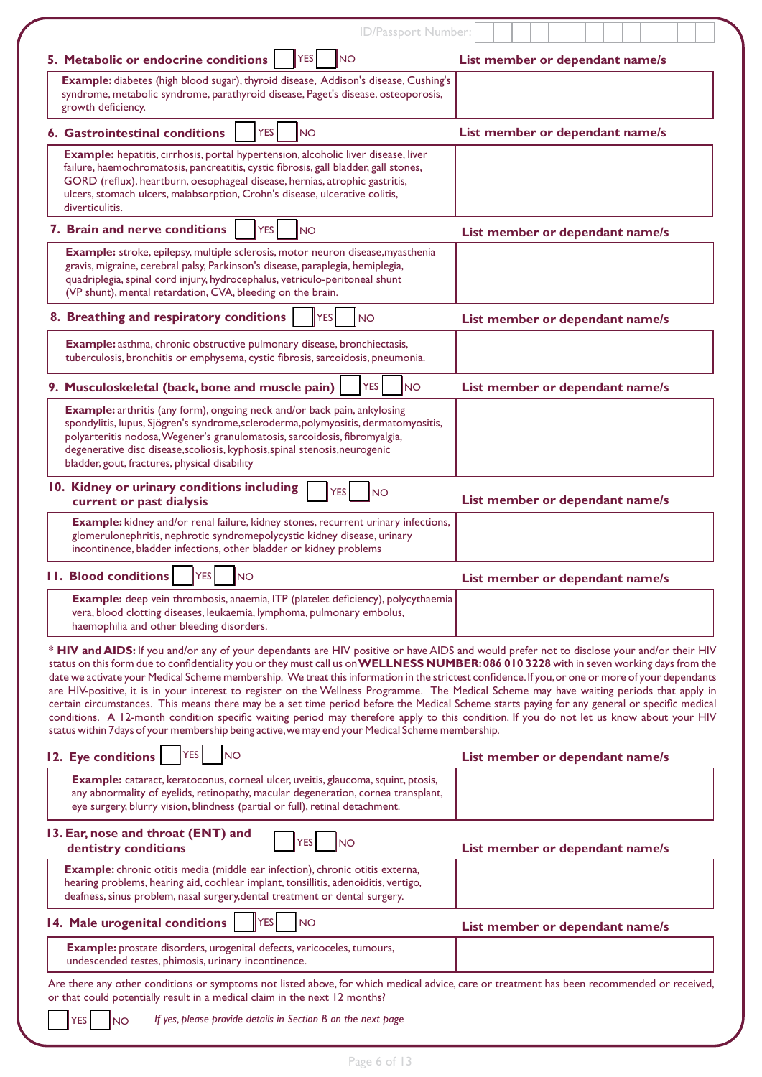| ID/Passport Number:                                                                                                                                                                                                                                                                                                                                                                                                                                                                                                                                                                                                                                                                                                                                                                                                                                                                                                                                                                     |                                 |
|-----------------------------------------------------------------------------------------------------------------------------------------------------------------------------------------------------------------------------------------------------------------------------------------------------------------------------------------------------------------------------------------------------------------------------------------------------------------------------------------------------------------------------------------------------------------------------------------------------------------------------------------------------------------------------------------------------------------------------------------------------------------------------------------------------------------------------------------------------------------------------------------------------------------------------------------------------------------------------------------|---------------------------------|
| 5. Metabolic or endocrine conditions<br><b>YES</b><br><b>NO</b>                                                                                                                                                                                                                                                                                                                                                                                                                                                                                                                                                                                                                                                                                                                                                                                                                                                                                                                         | List member or dependant name/s |
| Example: diabetes (high blood sugar), thyroid disease, Addison's disease, Cushing's<br>syndrome, metabolic syndrome, parathyroid disease, Paget's disease, osteoporosis,<br>growth deficiency.                                                                                                                                                                                                                                                                                                                                                                                                                                                                                                                                                                                                                                                                                                                                                                                          |                                 |
| <b>YES</b><br><b>6. Gastrointestinal conditions</b><br><b>NO</b>                                                                                                                                                                                                                                                                                                                                                                                                                                                                                                                                                                                                                                                                                                                                                                                                                                                                                                                        | List member or dependant name/s |
| <b>Example:</b> hepatitis, cirrhosis, portal hypertension, alcoholic liver disease, liver<br>failure, haemochromatosis, pancreatitis, cystic fibrosis, gall bladder, gall stones,<br>GORD (reflux), heartburn, oesophageal disease, hernias, atrophic gastritis,<br>ulcers, stomach ulcers, malabsorption, Crohn's disease, ulcerative colitis,<br>diverticulitis.                                                                                                                                                                                                                                                                                                                                                                                                                                                                                                                                                                                                                      |                                 |
| 7. Brain and nerve conditions<br><b>YES</b><br><b>NO</b>                                                                                                                                                                                                                                                                                                                                                                                                                                                                                                                                                                                                                                                                                                                                                                                                                                                                                                                                | List member or dependant name/s |
| Example: stroke, epilepsy, multiple sclerosis, motor neuron disease, myasthenia<br>gravis, migraine, cerebral palsy, Parkinson's disease, paraplegia, hemiplegia,<br>quadriplegia, spinal cord injury, hydrocephalus, vetriculo-peritoneal shunt<br>(VP shunt), mental retardation, CVA, bleeding on the brain.                                                                                                                                                                                                                                                                                                                                                                                                                                                                                                                                                                                                                                                                         |                                 |
| 8. Breathing and respiratory conditions<br><b>YES</b><br><b>NO</b>                                                                                                                                                                                                                                                                                                                                                                                                                                                                                                                                                                                                                                                                                                                                                                                                                                                                                                                      | List member or dependant name/s |
| Example: asthma, chronic obstructive pulmonary disease, bronchiectasis,<br>tuberculosis, bronchitis or emphysema, cystic fibrosis, sarcoidosis, pneumonia.                                                                                                                                                                                                                                                                                                                                                                                                                                                                                                                                                                                                                                                                                                                                                                                                                              |                                 |
| <b>YES</b><br><b>NO</b><br>9. Musculoskeletal (back, bone and muscle pain)                                                                                                                                                                                                                                                                                                                                                                                                                                                                                                                                                                                                                                                                                                                                                                                                                                                                                                              | List member or dependant name/s |
| <b>Example:</b> arthritis (any form), ongoing neck and/or back pain, ankylosing<br>spondylitis, lupus, Sjögren's syndrome, scleroderma, polymyositis, dermatomyositis,<br>polyarteritis nodosa, Wegener's granulomatosis, sarcoidosis, fibromyalgia,<br>degenerative disc disease, scoliosis, kyphosis, spinal stenosis, neurogenic<br>bladder, gout, fractures, physical disability                                                                                                                                                                                                                                                                                                                                                                                                                                                                                                                                                                                                    |                                 |
| 10. Kidney or urinary conditions including<br><b>YES</b><br><b>INO</b><br>current or past dialysis                                                                                                                                                                                                                                                                                                                                                                                                                                                                                                                                                                                                                                                                                                                                                                                                                                                                                      | List member or dependant name/s |
| Example: kidney and/or renal failure, kidney stones, recurrent urinary infections,<br>glomerulonephritis, nephrotic syndromepolycystic kidney disease, urinary<br>incontinence, bladder infections, other bladder or kidney problems                                                                                                                                                                                                                                                                                                                                                                                                                                                                                                                                                                                                                                                                                                                                                    |                                 |
| <b>11. Blood conditions</b><br><b>YES</b><br><b>NO</b>                                                                                                                                                                                                                                                                                                                                                                                                                                                                                                                                                                                                                                                                                                                                                                                                                                                                                                                                  | List member or dependant name/s |
| <b>Example:</b> deep vein thrombosis, anaemia, ITP (platelet deficiency), polycythaemia<br>vera, blood clotting diseases, leukaemia, lymphoma, pulmonary embolus,<br>haemophilia and other bleeding disorders.                                                                                                                                                                                                                                                                                                                                                                                                                                                                                                                                                                                                                                                                                                                                                                          |                                 |
| * HIV and AIDS: If you and/or any of your dependants are HIV positive or have AIDS and would prefer not to disclose your and/or their HIV<br>status on this form due to confidentiality you or they must call us on WELLNESS NUMBER: 086 010 3228 with in seven working days from the<br>date we activate your Medical Scheme membership. We treat this information in the strictest confidence. If you, or one or more of your dependants<br>are HIV-positive, it is in your interest to register on the Wellness Programme. The Medical Scheme may have waiting periods that apply in<br>certain circumstances. This means there may be a set time period before the Medical Scheme starts paying for any general or specific medical<br>conditions. A 12-month condition specific waiting period may therefore apply to this condition. If you do not let us know about your HIV<br>status within 7 days of your membership being active, we may end your Medical Scheme membership. |                                 |
| <b>YES</b><br><b>NO</b><br>12. Eye conditions                                                                                                                                                                                                                                                                                                                                                                                                                                                                                                                                                                                                                                                                                                                                                                                                                                                                                                                                           | List member or dependant name/s |
| Example: cataract, keratoconus, corneal ulcer, uveitis, glaucoma, squint, ptosis,<br>any abnormality of eyelids, retinopathy, macular degeneration, cornea transplant,<br>eye surgery, blurry vision, blindness (partial or full), retinal detachment.                                                                                                                                                                                                                                                                                                                                                                                                                                                                                                                                                                                                                                                                                                                                  |                                 |
| 13. Ear, nose and throat (ENT) and<br><b>YES</b><br><b>NO</b><br>dentistry conditions                                                                                                                                                                                                                                                                                                                                                                                                                                                                                                                                                                                                                                                                                                                                                                                                                                                                                                   | List member or dependant name/s |
| Example: chronic otitis media (middle ear infection), chronic otitis externa,<br>hearing problems, hearing aid, cochlear implant, tonsillitis, adenoiditis, vertigo,<br>deafness, sinus problem, nasal surgery, dental treatment or dental surgery.                                                                                                                                                                                                                                                                                                                                                                                                                                                                                                                                                                                                                                                                                                                                     |                                 |
| <b>YES</b><br>14. Male urogenital conditions<br><b>NO</b>                                                                                                                                                                                                                                                                                                                                                                                                                                                                                                                                                                                                                                                                                                                                                                                                                                                                                                                               | List member or dependant name/s |
| Example: prostate disorders, urogenital defects, varicoceles, tumours,<br>undescended testes, phimosis, urinary incontinence.                                                                                                                                                                                                                                                                                                                                                                                                                                                                                                                                                                                                                                                                                                                                                                                                                                                           |                                 |
| Are there any other conditions or symptoms not listed above, for which medical advice, care or treatment has been recommended or received,<br>or that could potentially result in a medical claim in the next 12 months?                                                                                                                                                                                                                                                                                                                                                                                                                                                                                                                                                                                                                                                                                                                                                                |                                 |
| If yes, please provide details in Section B on the next page<br><b>YES</b><br><b>NO</b>                                                                                                                                                                                                                                                                                                                                                                                                                                                                                                                                                                                                                                                                                                                                                                                                                                                                                                 |                                 |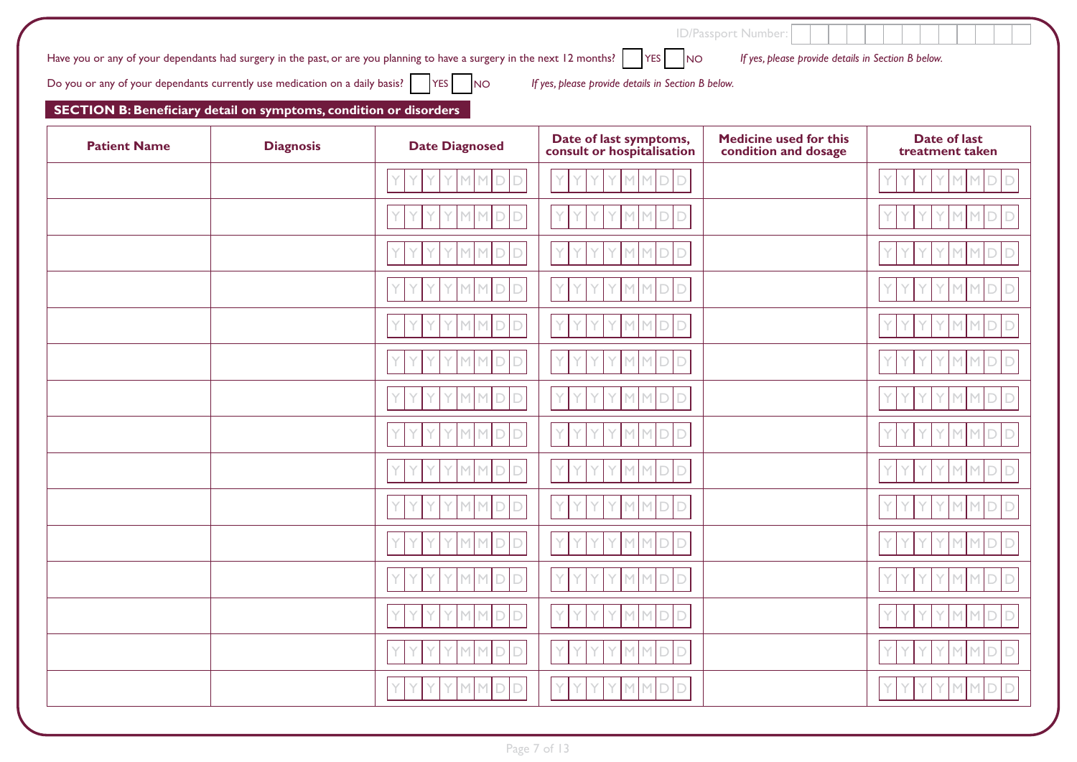| Have you or any of your dependants had surgery in the past, or are you planning to have a surgery in the next 12 months? $\vert$ YES $\vert$ NO | If yes, please provide details in Section B below. |
|-------------------------------------------------------------------------------------------------------------------------------------------------|----------------------------------------------------|
| Do you or any of your dependants currently use medication on a daily basis? $\Box$ YES NO                                                       | If yes, please provide details in Section B below. |

## **SECTION B: Beneficiary detail on symptoms, condition or disorders**

| <b>Patient Name</b> | <b>Diagnosis</b> | <b>Date Diagnosed</b>         | Date of last symptoms,<br>consult or hospitalisation | Medicine used for this<br>condition and dosage | <b>Date of last</b><br>treatment taken |
|---------------------|------------------|-------------------------------|------------------------------------------------------|------------------------------------------------|----------------------------------------|
|                     |                  |                               | D<br>Υ<br>٧<br>M.                                    |                                                | м<br>M.<br>ю                           |
|                     |                  | ⊃                             | М<br>D                                               |                                                | D                                      |
|                     |                  | D<br>n                        | Ÿ<br>$\Box$<br>м                                     |                                                | D<br>M<br>П                            |
|                     |                  | D<br>D                        | Y<br>$\Box$<br>М<br>D)                               |                                                | M<br>D                                 |
|                     |                  | $\overline{D}$<br>n           | Ÿ<br>D                                               |                                                |                                        |
|                     |                  | D                             | $\Box$<br>м                                          |                                                |                                        |
|                     |                  | D                             | $\Box$<br>м                                          |                                                | D<br>м<br>D                            |
|                     |                  | $\overline{D}$<br>D           | D<br>D)                                              |                                                |                                        |
|                     |                  | D<br>n                        | D<br>м                                               |                                                | D<br>D                                 |
|                     |                  | D                             | Y<br>D<br>м                                          |                                                | D                                      |
|                     |                  | D<br>n                        | Ÿ<br>$\Box$<br>М                                     |                                                | D<br>М                                 |
|                     |                  | D<br>D                        | D                                                    |                                                | D<br>D                                 |
|                     |                  | Y<br>$\overline{\phantom{0}}$ | Y<br>D<br>м                                          |                                                | D                                      |
|                     |                  |                               | D                                                    |                                                |                                        |
|                     |                  | D<br>D<br>M.<br>M.            | $\Box$<br>M.<br>$\Box$<br>М                          |                                                | $\Box$<br>$\Box$<br>М<br>М             |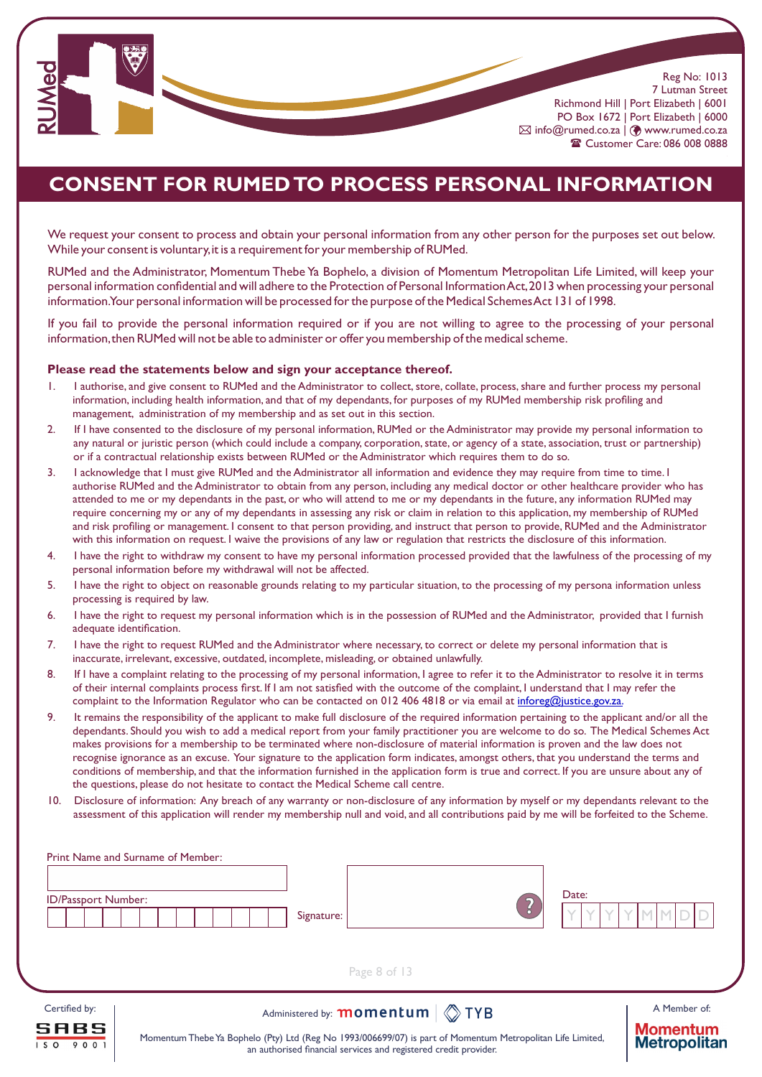

# **CONSENT FOR RUMED TO PROCESS PERSONAL INFORMATION**

We request your consent to process and obtain your personal information from any other person for the purposes set out below. While your consent is voluntary,it is a requirement for your membership of RUMed.

RUMed and the Administrator, Momentum Thebe Ya Bophelo, a division of Momentum Metropolitan Life Limited, will keep your personal information confidential and will adhere to the Protection of Personal Information Act,2013 when processing your personal information.Your personal information will be processed for the purpose of the Medical Schemes Act 131 of 1998.

If you fail to provide the personal information required or if you are not willing to agree to the processing of your personal information,then RUMed will not be able to administer or offer you membership of the medical scheme.

#### **Please read the statements below and sign your acceptance thereof.**

- 1. I authorise, and give consent to RUMed and the Administrator to collect, store, collate, process, share and further process my personal information, including health information, and that of my dependants, for purposes of my RUMed membership risk profiling and management, administration of my membership and as set out in this section.
- 2. If I have consented to the disclosure of my personal information, RUMed or the Administrator may provide my personal information to any natural or juristic person (which could include a company, corporation, state, or agency of a state, association, trust or partnership) or if a contractual relationship exists between RUMed or the Administrator which requires them to do so.
- 3. I acknowledge that I must give RUMed and the Administrator all information and evidence they may require from time to time. I authorise RUMed and the Administrator to obtain from any person, including any medical doctor or other healthcare provider who has attended to me or my dependants in the past, or who will attend to me or my dependants in the future, any information RUMed may require concerning my or any of my dependants in assessing any risk or claim in relation to this application, my membership of RUMed and risk profiling or management. I consent to that person providing, and instruct that person to provide, RUMed and the Administrator with this information on request. I waive the provisions of any law or regulation that restricts the disclosure of this information.
- 4. I have the right to withdraw my consent to have my personal information processed provided that the lawfulness of the processing of my personal information before my withdrawal will not be affected.
- 5. I have the right to object on reasonable grounds relating to my particular situation, to the processing of my persona information unless processing is required by law.
- 6. I have the right to request my personal information which is in the possession of RUMed and the Administrator, provided that I furnish adequate identification.
- 7. I have the right to request RUMed and the Administrator where necessary, to correct or delete my personal information that is inaccurate, irrelevant, excessive, outdated, incomplete, misleading, or obtained unlawfully.
- 8. If I have a complaint relating to the processing of my personal information, I agree to refer it to the Administrator to resolve it in terms of their internal complaints process first. If I am not satisfied with the outcome of the complaint, I understand that I may refer the complaint to the Information Regulator who can be contacted on 012 406 4818 or via email at inforeg@justice.gov.za.
- 9. It remains the responsibility of the applicant to make full disclosure of the required information pertaining to the applicant and/or all the dependants. Should you wish to add a medical report from your family practitioner you are welcome to do so. The Medical Schemes Act makes provisions for a membership to be terminated where non-disclosure of material information is proven and the law does not recognise ignorance as an excuse. Your signature to the application form indicates, amongst others, that you understand the terms and conditions of membership, and that the information furnished in the application form is true and correct. If you are unsure about any of the questions, please do not hesitate to contact the Medical Scheme call centre.
- 10. Disclosure of information: Any breach of any warranty or non-disclosure of any information by myself or my dependants relevant to the assessment of this application will render my membership null and void, and all contributions paid by me will be forfeited to the Scheme.

| ID/Passport Number:                  | Print Name and Surname of Member:<br>Signature:                                                                                                                                                                                   | Date: |                                                        |
|--------------------------------------|-----------------------------------------------------------------------------------------------------------------------------------------------------------------------------------------------------------------------------------|-------|--------------------------------------------------------|
|                                      | Page 8 of 13                                                                                                                                                                                                                      |       |                                                        |
| Certified by:<br>SABS<br>s o<br>9001 | Administered by: <b>momentum</b>   <b>C</b> TYB<br>Momentum Thebe Ya Bophelo (Pty) Ltd (Reg No 1993/006699/07) is part of Momentum Metropolitan Life Limited,<br>an authorised financial services and registered credit provider. |       | A Member of:<br><b>Momentum</b><br><b>Metropolitan</b> |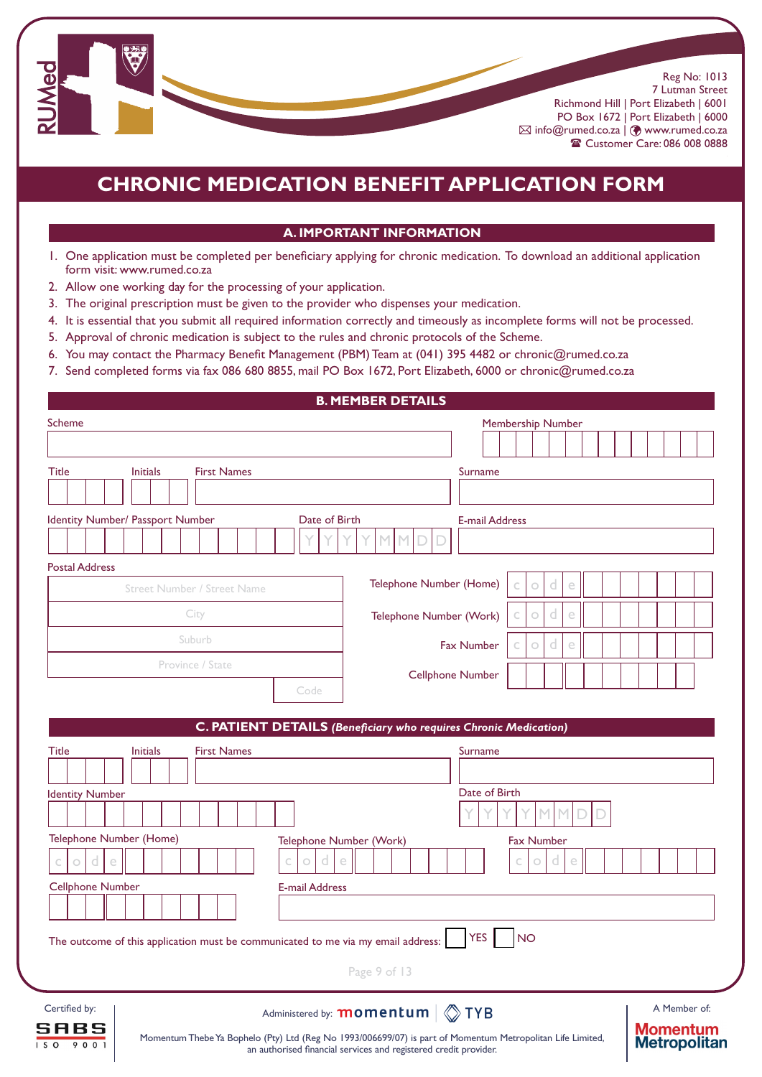

# **CHRONIC MEDICATION BENEFIT APPLICATION FORM**

#### **A. IMPORTANT INFORMATION**

- 1. One application must be completed per beneficiary applying for chronic medication. To download an additional application form visit: www.rumed.co.za
- 2. Allow one working day for the processing of your application.
- 3. The original prescription must be given to the provider who dispenses your medication.
- 4. It is essential that you submit all required information correctly and timeously as incomplete forms will not be processed.
- 5. Approval of chronic medication is subject to the rules and chronic protocols of the Scheme.
- 6. You may contact the Pharmacy Benefit Management (PBM) Team at (041) 395 4482 or chronic@rumed.co.za
- 7. Send completed forms via fax 086 680 8855, mail PO Box 1672, Port Elizabeth, 6000 or chronic@rumed.co.za

|                                                                                  | <b>B. MEMBER DETAILS</b>                                                                                                      |
|----------------------------------------------------------------------------------|-------------------------------------------------------------------------------------------------------------------------------|
| <b>Scheme</b>                                                                    | Membership Number                                                                                                             |
|                                                                                  |                                                                                                                               |
| <b>Title</b><br><b>Initials</b><br><b>First Names</b>                            | Surname                                                                                                                       |
|                                                                                  |                                                                                                                               |
| Identity Number/ Passport Number<br>Date of Birth                                | <b>E-mail Address</b>                                                                                                         |
|                                                                                  |                                                                                                                               |
| <b>Postal Address</b>                                                            |                                                                                                                               |
| <b>Street Number / Street Name</b>                                               | Telephone Number (Home)<br>d<br>e<br>$\circ$                                                                                  |
| City                                                                             | e<br>$\circ$<br>d<br>Telephone Number (Work)<br>Ċ                                                                             |
| Suburb                                                                           |                                                                                                                               |
| Province / State                                                                 | <b>Fax Number</b><br>e<br>$\circ$<br>d                                                                                        |
|                                                                                  | <b>Cellphone Number</b>                                                                                                       |
| Code                                                                             |                                                                                                                               |
|                                                                                  | <b>C. PATIENT DETAILS (Beneficiary who requires Chronic Medication)</b>                                                       |
| <b>Title</b><br><b>First Names</b><br><b>Initials</b>                            | Surname                                                                                                                       |
|                                                                                  |                                                                                                                               |
| <b>Identity Number</b>                                                           | Date of Birth                                                                                                                 |
|                                                                                  |                                                                                                                               |
| Telephone Number (Home)                                                          | Telephone Number (Work)<br><b>Fax Number</b>                                                                                  |
| d<br>$\circ$<br>d<br>ė<br>$\circ$                                                | e<br>d<br>e<br>$\circ$                                                                                                        |
| <b>Cellphone Number</b><br><b>E-mail Address</b>                                 |                                                                                                                               |
|                                                                                  |                                                                                                                               |
| The outcome of this application must be communicated to me via my email address: | <b>YES</b><br><b>NO</b>                                                                                                       |
|                                                                                  |                                                                                                                               |
|                                                                                  | Page 9 of 13                                                                                                                  |
| Certified by:                                                                    | A Member of:<br>Administered by: momentum<br>$\otimes$ TYB                                                                    |
| SABS                                                                             | <b>Momentum</b><br>Momentum Thebe Ya Bophelo (Pty) Ltd (Reg No 1993/006699/07) is part of Momentum Metropolitan Life Limited, |
| 1509001                                                                          | <b>Metropolitan</b><br>an authorised financial services and registered credit provider.                                       |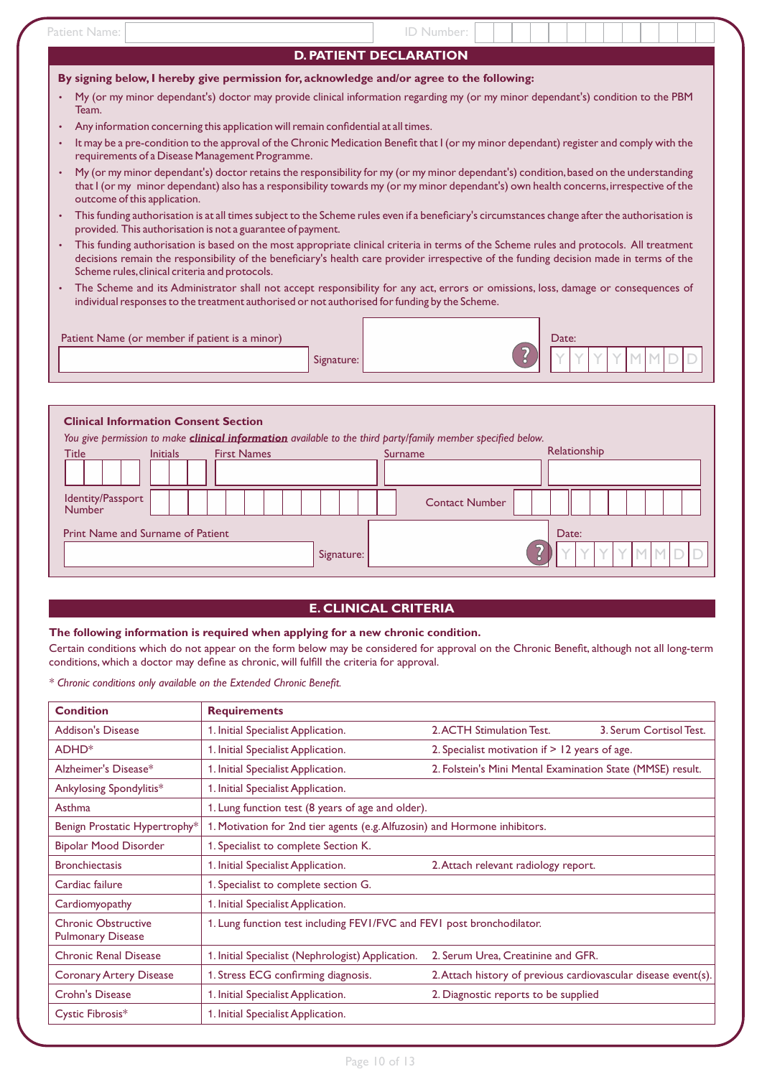| Patient Name:                                                                                              | ID Number:                                                                                                                                                                                                                                                                         |
|------------------------------------------------------------------------------------------------------------|------------------------------------------------------------------------------------------------------------------------------------------------------------------------------------------------------------------------------------------------------------------------------------|
|                                                                                                            | <b>D. PATIENT DECLARATION</b>                                                                                                                                                                                                                                                      |
| By signing below, I hereby give permission for, acknowledge and/or agree to the following:                 |                                                                                                                                                                                                                                                                                    |
| Team.                                                                                                      | My (or my minor dependant's) doctor may provide clinical information regarding my (or my minor dependant's) condition to the PBM                                                                                                                                                   |
| Any information concerning this application will remain confidential at all times.<br>$\bullet$            |                                                                                                                                                                                                                                                                                    |
| $\bullet$<br>requirements of a Disease Management Programme.                                               | It may be a pre-condition to the approval of the Chronic Medication Benefit that I (or my minor dependant) register and comply with the                                                                                                                                            |
| $\bullet$<br>outcome of this application.                                                                  | My (or my minor dependant's) doctor retains the responsibility for my (or my minor dependant's) condition, based on the understanding<br>that I (or my minor dependant) also has a responsibility towards my (or my minor dependant's) own health concerns, irrespective of the    |
| $\bullet$<br>provided. This authorisation is not a guarantee of payment.                                   | This funding authorisation is at all times subject to the Scheme rules even if a beneficiary's circumstances change after the authorisation is                                                                                                                                     |
| $\bullet$<br>Scheme rules, clinical criteria and protocols.                                                | This funding authorisation is based on the most appropriate clinical criteria in terms of the Scheme rules and protocols. All treatment<br>decisions remain the responsibility of the beneficiary's health care provider irrespective of the funding decision made in terms of the |
| $\bullet$<br>individual responses to the treatment authorised or not authorised for funding by the Scheme. | The Scheme and its Administrator shall not accept responsibility for any act, errors or omissions, loss, damage or consequences of                                                                                                                                                 |
| Patient Name (or member if patient is a minor)<br>Signature:                                               | Date:                                                                                                                                                                                                                                                                              |

#### **Clinical Information Consent Section**

*You give permission to make clinical information available to the third party/family member specified below.*

| <b>Title</b>                      | <b>Initials</b> | <b>First Names</b> |            |  | Surname               | Relationship |     |      |  |
|-----------------------------------|-----------------|--------------------|------------|--|-----------------------|--------------|-----|------|--|
|                                   |                 |                    |            |  |                       |              |     |      |  |
| Identity/Passport<br>Number       |                 |                    |            |  | <b>Contact Number</b> |              |     |      |  |
| Print Name and Surname of Patient |                 |                    |            |  |                       | Date:        |     |      |  |
|                                   |                 |                    | Signature: |  |                       |              | Y Y | ″IM⊥ |  |

### **E. CLINICAL CRITERIA**

### **The following information is required when applying for a new chronic condition.**

Certain conditions which do not appear on the form below may be considered for approval on the Chronic Benefit, although not all long-term conditions, which a doctor may define as chronic, will fulfill the criteria for approval.

*\* Chronic conditions only available on the Extended Chronic Benefit.*

| <b>Condition</b>                                       | <b>Requirements</b>                                                        |                                                                |
|--------------------------------------------------------|----------------------------------------------------------------------------|----------------------------------------------------------------|
| <b>Addison's Disease</b>                               | 1. Initial Specialist Application.                                         | 2. ACTH Stimulation Test.<br>3. Serum Cortisol Test.           |
| ADHD <sup>*</sup>                                      | 1. Initial Specialist Application.                                         | 2. Specialist motivation if $> 12$ years of age.               |
| Alzheimer's Disease*                                   | 1. Initial Specialist Application.                                         | 2. Folstein's Mini Mental Examination State (MMSE) result.     |
| Ankylosing Spondylitis*                                | 1. Initial Specialist Application.                                         |                                                                |
| Asthma                                                 | 1. Lung function test (8 years of age and older).                          |                                                                |
| Benign Prostatic Hypertrophy*                          | 1. Motivation for 2nd tier agents (e.g. Alfuzosin) and Hormone inhibitors. |                                                                |
| Bipolar Mood Disorder                                  | 1. Specialist to complete Section K.                                       |                                                                |
| <b>Bronchiectasis</b>                                  | 1. Initial Specialist Application.                                         | 2. Attach relevant radiology report.                           |
| Cardiac failure                                        | 1. Specialist to complete section G.                                       |                                                                |
| Cardiomyopathy                                         | 1. Initial Specialist Application.                                         |                                                                |
| <b>Chronic Obstructive</b><br><b>Pulmonary Disease</b> | 1. Lung function test including FEV1/FVC and FEV1 post bronchodilator.     |                                                                |
| <b>Chronic Renal Disease</b>                           | 1. Initial Specialist (Nephrologist) Application.                          | 2. Serum Urea, Creatinine and GFR.                             |
| <b>Coronary Artery Disease</b>                         | 1. Stress ECG confirming diagnosis.                                        | 2. Attach history of previous cardiovascular disease event(s). |
| <b>Crohn's Disease</b>                                 | 1. Initial Specialist Application.                                         | 2. Diagnostic reports to be supplied                           |
| Cystic Fibrosis*                                       | 1. Initial Specialist Application.                                         |                                                                |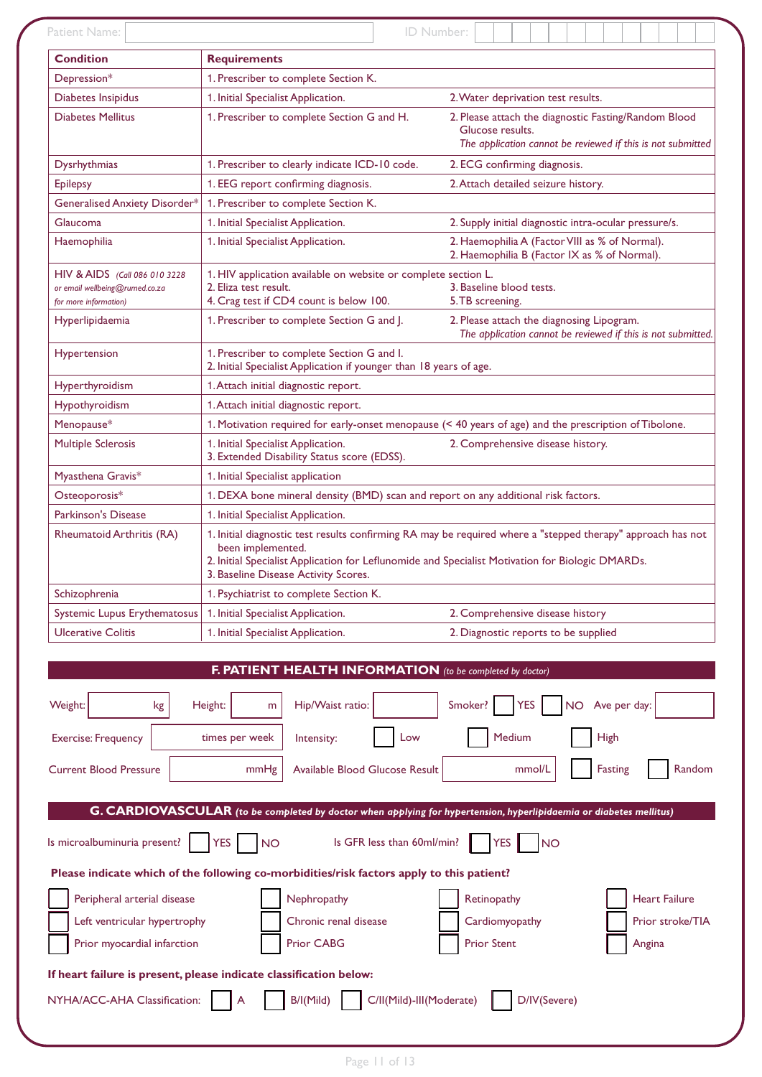| Patient Name:                                                                                       |                                                                                                                                                               | ID Number:                                                                                                                              |  |  |  |  |  |  |  |  |
|-----------------------------------------------------------------------------------------------------|---------------------------------------------------------------------------------------------------------------------------------------------------------------|-----------------------------------------------------------------------------------------------------------------------------------------|--|--|--|--|--|--|--|--|
| <b>Condition</b>                                                                                    | <b>Requirements</b>                                                                                                                                           |                                                                                                                                         |  |  |  |  |  |  |  |  |
| Depression*                                                                                         | 1. Prescriber to complete Section K.                                                                                                                          |                                                                                                                                         |  |  |  |  |  |  |  |  |
| Diabetes Insipidus                                                                                  | 1. Initial Specialist Application.                                                                                                                            | 2. Water deprivation test results.                                                                                                      |  |  |  |  |  |  |  |  |
| <b>Diabetes Mellitus</b>                                                                            | 1. Prescriber to complete Section G and H.                                                                                                                    | 2. Please attach the diagnostic Fasting/Random Blood<br>Glucose results.<br>The application cannot be reviewed if this is not submitted |  |  |  |  |  |  |  |  |
| Dysrhythmias                                                                                        | 1. Prescriber to clearly indicate ICD-10 code.                                                                                                                | 2. ECG confirming diagnosis.                                                                                                            |  |  |  |  |  |  |  |  |
| <b>Epilepsy</b>                                                                                     | 1. EEG report confirming diagnosis.                                                                                                                           | 2. Attach detailed seizure history.                                                                                                     |  |  |  |  |  |  |  |  |
| Generalised Anxiety Disorder*                                                                       | 1. Prescriber to complete Section K.                                                                                                                          |                                                                                                                                         |  |  |  |  |  |  |  |  |
| Glaucoma                                                                                            | 1. Initial Specialist Application.                                                                                                                            | 2. Supply initial diagnostic intra-ocular pressure/s.                                                                                   |  |  |  |  |  |  |  |  |
| Haemophilia                                                                                         | 1. Initial Specialist Application.<br>2. Haemophilia A (Factor VIII as % of Normal).<br>2. Haemophilia B (Factor IX as % of Normal).                          |                                                                                                                                         |  |  |  |  |  |  |  |  |
| HIV & AIDS (Call 086 010 3228<br>or email wellbeing@rumed.co.za<br>for more information)            | 1. HIV application available on website or complete section L.<br>2. Eliza test result.<br>4. Crag test if CD4 count is below 100.                            | 3. Baseline blood tests.<br>5. TB screening.                                                                                            |  |  |  |  |  |  |  |  |
| Hyperlipidaemia                                                                                     | 1. Prescriber to complete Section G and J.                                                                                                                    | 2. Please attach the diagnosing Lipogram.<br>The application cannot be reviewed if this is not submitted.                               |  |  |  |  |  |  |  |  |
| Hypertension                                                                                        | 1. Prescriber to complete Section G and I.<br>2. Initial Specialist Application if younger than 18 years of age.                                              |                                                                                                                                         |  |  |  |  |  |  |  |  |
| Hyperthyroidism                                                                                     | 1. Attach initial diagnostic report.                                                                                                                          |                                                                                                                                         |  |  |  |  |  |  |  |  |
| Hypothyroidism                                                                                      | 1. Attach initial diagnostic report.                                                                                                                          |                                                                                                                                         |  |  |  |  |  |  |  |  |
| Menopause*                                                                                          |                                                                                                                                                               | 1. Motivation required for early-onset menopause (< 40 years of age) and the prescription of Tibolone.                                  |  |  |  |  |  |  |  |  |
| <b>Multiple Sclerosis</b>                                                                           | 1. Initial Specialist Application.<br>3. Extended Disability Status score (EDSS).                                                                             | 2. Comprehensive disease history.                                                                                                       |  |  |  |  |  |  |  |  |
| Myasthena Gravis*<br>1. Initial Specialist application                                              |                                                                                                                                                               |                                                                                                                                         |  |  |  |  |  |  |  |  |
| Osteoporosis*<br>1. DEXA bone mineral density (BMD) scan and report on any additional risk factors. |                                                                                                                                                               |                                                                                                                                         |  |  |  |  |  |  |  |  |
| Parkinson's Disease<br>1. Initial Specialist Application.                                           |                                                                                                                                                               |                                                                                                                                         |  |  |  |  |  |  |  |  |
| Rheumatoid Arthritis (RA)                                                                           | been implemented.<br>2. Initial Specialist Application for Leflunomide and Specialist Motivation for Biologic DMARDs.<br>3. Baseline Disease Activity Scores. | 1. Initial diagnostic test results confirming RA may be required where a "stepped therapy" approach has not                             |  |  |  |  |  |  |  |  |
| Schizophrenia                                                                                       | 1. Psychiatrist to complete Section K.                                                                                                                        |                                                                                                                                         |  |  |  |  |  |  |  |  |
| Systemic Lupus Erythematosus                                                                        | 1. Initial Specialist Application.                                                                                                                            | 2. Comprehensive disease history                                                                                                        |  |  |  |  |  |  |  |  |
| <b>Ulcerative Colitis</b>                                                                           | 1. Initial Specialist Application.                                                                                                                            | 2. Diagnostic reports to be supplied                                                                                                    |  |  |  |  |  |  |  |  |
|                                                                                                     | F. PATIENT HEALTH INFORMATION (to be completed by doctor)                                                                                                     |                                                                                                                                         |  |  |  |  |  |  |  |  |
| Weight:<br>kg                                                                                       | Hip/Waist ratio:<br>Height:<br>m                                                                                                                              | NO Ave per day:<br>Smoker?<br><b>YES</b>                                                                                                |  |  |  |  |  |  |  |  |
| <b>Exercise: Frequency</b>                                                                          | times per week<br>Low<br>Intensity:                                                                                                                           | Medium<br><b>High</b>                                                                                                                   |  |  |  |  |  |  |  |  |
| <b>Current Blood Pressure</b>                                                                       | mmHg<br>Available Blood Glucose Result                                                                                                                        | Fasting<br>Random<br>mmol/L                                                                                                             |  |  |  |  |  |  |  |  |
|                                                                                                     |                                                                                                                                                               |                                                                                                                                         |  |  |  |  |  |  |  |  |
|                                                                                                     |                                                                                                                                                               | G. CARDIOVASCULAR (to be completed by doctor when applying for hypertension, hyperlipidaemia or diabetes mellitus)                      |  |  |  |  |  |  |  |  |
| Is microalbuminuria present?                                                                        | <b>YES</b><br>Is GFR less than 60ml/min?<br><b>NO</b>                                                                                                         | <b>YES</b><br><b>NO</b>                                                                                                                 |  |  |  |  |  |  |  |  |
|                                                                                                     | Please indicate which of the following co-morbidities/risk factors apply to this patient?                                                                     |                                                                                                                                         |  |  |  |  |  |  |  |  |
| Peripheral arterial disease                                                                         | Nephropathy                                                                                                                                                   | Retinopathy<br><b>Heart Failure</b>                                                                                                     |  |  |  |  |  |  |  |  |
| Left ventricular hypertrophy                                                                        | Chronic renal disease                                                                                                                                         | Prior stroke/TIA<br>Cardiomyopathy                                                                                                      |  |  |  |  |  |  |  |  |
|                                                                                                     |                                                                                                                                                               |                                                                                                                                         |  |  |  |  |  |  |  |  |
| Prior myocardial infarction                                                                         | Prior CABG                                                                                                                                                    | <b>Prior Stent</b><br>Angina                                                                                                            |  |  |  |  |  |  |  |  |
|                                                                                                     | If heart failure is present, please indicate classification below:                                                                                            |                                                                                                                                         |  |  |  |  |  |  |  |  |
| NYHA/ACC-AHA Classification:                                                                        | C/II(Mild)-III(Moderate)<br>B/I(Mild)                                                                                                                         | D/IV(Severe)                                                                                                                            |  |  |  |  |  |  |  |  |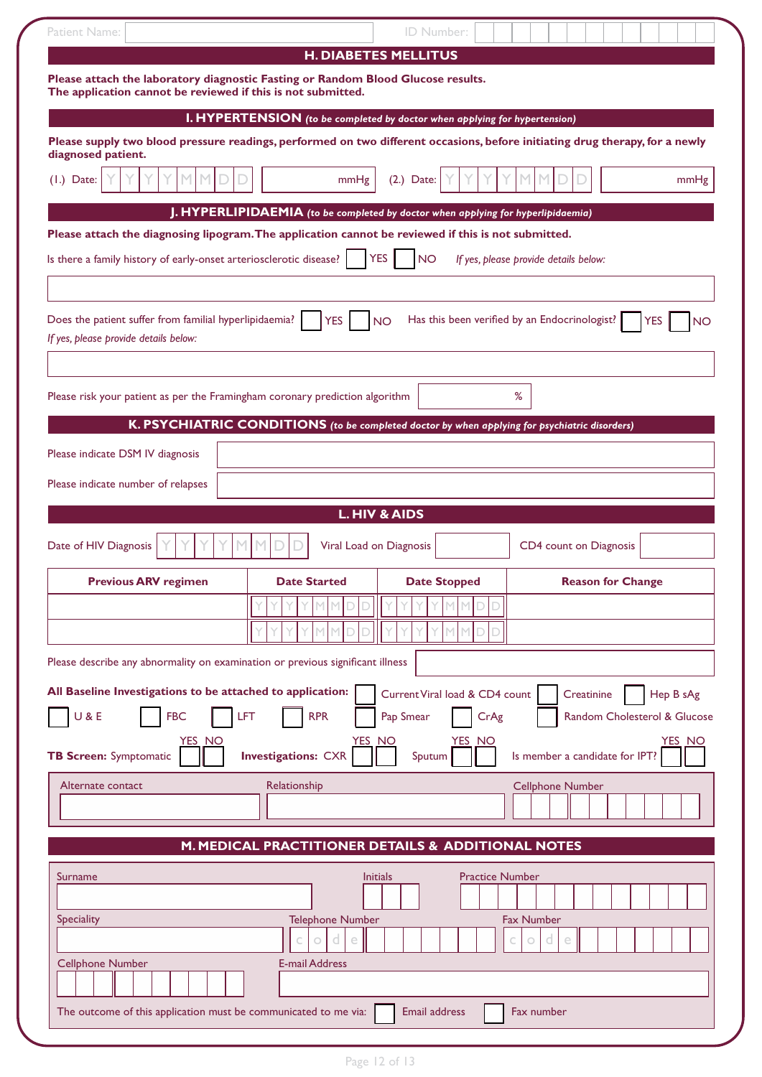| <b>Patient Name:</b>                                                                                                                             |                                                                                               | ID Number:                     |                                                                                                                              |
|--------------------------------------------------------------------------------------------------------------------------------------------------|-----------------------------------------------------------------------------------------------|--------------------------------|------------------------------------------------------------------------------------------------------------------------------|
|                                                                                                                                                  |                                                                                               | <b>H. DIABETES MELLITUS</b>    |                                                                                                                              |
| Please attach the laboratory diagnostic Fasting or Random Blood Glucose results.<br>The application cannot be reviewed if this is not submitted. |                                                                                               |                                |                                                                                                                              |
|                                                                                                                                                  | <b>I. HYPERTENSION</b> (to be completed by doctor when applying for hypertension)             |                                |                                                                                                                              |
| diagnosed patient.                                                                                                                               |                                                                                               |                                | Please supply two blood pressure readings, performed on two different occasions, before initiating drug therapy, for a newly |
| $(1.)$ Date:                                                                                                                                     | mmHg                                                                                          | $(2.)$ Date:                   | mmHg                                                                                                                         |
|                                                                                                                                                  | J. HYPERLIPIDAEMIA (to be completed by doctor when applying for hyperlipidaemia)              |                                |                                                                                                                              |
| Please attach the diagnosing lipogram. The application cannot be reviewed if this is not submitted.                                              |                                                                                               |                                |                                                                                                                              |
| Is there a family history of early-onset arteriosclerotic disease?                                                                               |                                                                                               | <b>YES</b><br><b>NO</b>        | If yes, please provide details below:                                                                                        |
|                                                                                                                                                  |                                                                                               |                                |                                                                                                                              |
| Does the patient suffer from familial hyperlipidaemia?<br>If yes, please provide details below:                                                  | <b>YES</b>                                                                                    | <b>NO</b>                      | Has this been verified by an Endocrinologist?<br>YES<br>NΟ                                                                   |
|                                                                                                                                                  |                                                                                               |                                |                                                                                                                              |
| Please risk your patient as per the Framingham coronary prediction algorithm                                                                     |                                                                                               |                                | $\%$                                                                                                                         |
|                                                                                                                                                  | K. PSYCHIATRIC CONDITIONS (to be completed doctor by when applying for psychiatric disorders) |                                |                                                                                                                              |
| Please indicate DSM IV diagnosis                                                                                                                 |                                                                                               |                                |                                                                                                                              |
| Please indicate number of relapses                                                                                                               |                                                                                               |                                |                                                                                                                              |
|                                                                                                                                                  |                                                                                               | <b>L. HIV &amp; AIDS</b>       |                                                                                                                              |
| Date of HIV Diagnosis                                                                                                                            | Viral Load on Diagnosis                                                                       |                                | CD4 count on Diagnosis                                                                                                       |
| <b>Previous ARV regimen</b>                                                                                                                      | <b>Date Started</b>                                                                           | <b>Date Stopped</b>            | <b>Reason for Change</b>                                                                                                     |
|                                                                                                                                                  |                                                                                               |                                |                                                                                                                              |
|                                                                                                                                                  |                                                                                               |                                |                                                                                                                              |
| Please describe any abnormality on examination or previous significant illness                                                                   |                                                                                               |                                |                                                                                                                              |
| All Baseline Investigations to be attached to application:                                                                                       |                                                                                               | Current Viral load & CD4 count | Creatinine<br>Hep B sAg                                                                                                      |
| U & E<br><b>FBC</b>                                                                                                                              | LFT<br><b>RPR</b>                                                                             | Pap Smear<br>CrAg              | Random Cholesterol & Glucose                                                                                                 |
| YES NO<br><b>TB Screen: Symptomatic</b>                                                                                                          | <u>YES_NO</u><br><b>Investigations: CXR</b>                                                   | <u>YES_NO</u><br>Sputum        | YES NO<br>Is member a candidate for IPT?                                                                                     |
| Alternate contact                                                                                                                                | Relationship                                                                                  |                                | <b>Cellphone Number</b>                                                                                                      |
|                                                                                                                                                  |                                                                                               |                                |                                                                                                                              |
|                                                                                                                                                  | M. MEDICAL PRACTITIONER DETAILS & ADDITIONAL NOTES                                            |                                |                                                                                                                              |
| <b>Surname</b><br>Speciality<br><b>Cellphone Number</b>                                                                                          | <b>Initials</b><br><b>Telephone Number</b><br>d<br>e<br>0<br><b>E-mail Address</b>            | <b>Practice Number</b>         | <b>Fax Number</b><br>d<br>C<br>$\circ$<br>e                                                                                  |
|                                                                                                                                                  |                                                                                               |                                |                                                                                                                              |
| The outcome of this application must be communicated to me via:                                                                                  |                                                                                               | Email address                  | Fax number                                                                                                                   |
|                                                                                                                                                  |                                                                                               |                                |                                                                                                                              |